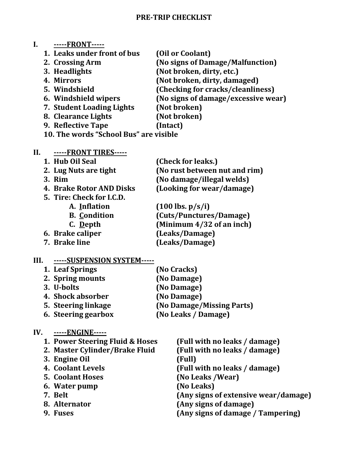#### **PRE-TRIP CHECKLIST**

# **I. -----FRONT-----**

- **1. Leaks under front of bus (Oil or Coolant)**
- 
- 
- 
- 
- 
- **7. Student Loading Lights (Not broken)**
- **8. Clearance Lights (Not broken)**
- 
- **9. Reflective Tape (Intact)**
- **10. The words "School Bus" are visible**

# **II. -----FRONT TIRES-----**

- **1. Hub Oil Seal (Check for leaks.) 2. Lug Nuts are tight (No rust between nut and rim) 3. Rim (No damage/illegal welds)**
- 
- **4. Brake Rotor AND Disks (Looking for wear/damage)**
- **5. Tire: Check for I.C.D.**
	- **A. Inflation (100 lbs. p/s/i)**
		- **B. Condition (Cuts/Punctures/Damage)**
	- **C. Depth (Minimum 4/32 of an inch)**
- **6. Brake caliper (Leaks/Damage)**
- **7. Brake line (Leaks/Damage)**

# **III. -----SUSPENSION SYSTEM-----**

- **1. Leaf Springs (No Cracks) 2. Spring mounts (No Damage) 3. U-bolts (No Damage) 4. Shock absorber (No Damage) 5. Steering linkage (No Damage/Missing Parts) 6. Steering gearbox (No Leaks / Damage)**
- **IV. -----ENGINE-----**

| 1. Power Steering Fluid & Hoses | (Full with no leaks / damage)        |
|---------------------------------|--------------------------------------|
| 2. Master Cylinder/Brake Fluid  | (Full with no leaks / damage)        |
| 3. Engine Oil                   | (Full)                               |
| 4. Coolant Levels               | (Full with no leaks / damage)        |
| <b>5. Coolant Hoses</b>         | (No Leaks /Wear)                     |
| 6. Water pump                   | (No Leaks)                           |
| 7. Belt                         | (Any signs of extensive wear/damage) |
| 8. Alternator                   | (Any signs of damage)                |
| 9. Fuses                        | (Any signs of damage / Tampering)    |
|                                 |                                      |

- **2. Crossing Arm (No signs of Damage/Malfunction)**
- **3. Headlights (Not broken, dirty, etc.)**
- **4. Mirrors (Not broken, dirty, damaged)**
- **5. Windshield (Checking for cracks/cleanliness)**
- **6. Windshield wipers (No signs of damage/excessive wear)**
	-
	-
	-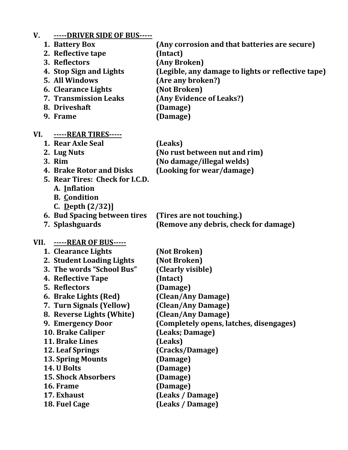| V.   | -----DRIVER SIDE OF BUS-----    |                                                    |
|------|---------------------------------|----------------------------------------------------|
|      | 1. Battery Box                  | (Any corrosion and that batteries are secure)      |
|      | 2. Reflective tape              | (Intact)                                           |
|      | 3. Reflectors                   | (Any Broken)                                       |
|      | 4. Stop Sign and Lights         | (Legible, any damage to lights or reflective tape) |
|      | 5. All Windows                  | (Are any broken?)                                  |
|      | <b>6. Clearance Lights</b>      | (Not Broken)                                       |
|      | <b>7. Transmission Leaks</b>    | (Any Evidence of Leaks?)                           |
|      | 8. Driveshaft                   | (Damage)                                           |
|      | 9. Frame                        | (Damage)                                           |
|      | VI. -----REAR TIRES-----        |                                                    |
|      | 1. Rear Axle Seal               | (Leaks)                                            |
|      | 2. Lug Nuts                     | (No rust between nut and rim)                      |
|      | 3. Rim                          | (No damage/illegal welds)                          |
|      | 4. Brake Rotor and Disks        | (Looking for wear/damage)                          |
|      | 5. Rear Tires: Check for I.C.D. |                                                    |
|      | A. Inflation                    |                                                    |
|      | <b>B.</b> Condition             |                                                    |
|      | C. Depth $(2/32)$ ]             |                                                    |
|      | 6. Bud Spacing between tires    | (Tires are not touching.)                          |
|      | 7. Splashguards                 | (Remove any debris, check for damage)              |
| VII. | <u>-----REAR OF BUS-----</u>    |                                                    |
|      | 1. Clearance Lights             | (Not Broken)                                       |
|      | 2. Student Loading Lights       | (Not Broken)                                       |
|      | 3. The words "School Bus"       | (Clearly visible)                                  |
|      | 4. Reflective Tape              | (Intact)                                           |
|      | 5. Reflectors                   | (Damage)                                           |
|      | 6. Brake Lights (Red)           | (Clean/Any Damage)                                 |
|      | 7. Turn Signals (Yellow)        | (Clean/Any Damage)                                 |
|      | 8. Reverse Lights (White)       | (Clean/Any Damage)                                 |
|      | 9. Emergency Door               | (Completely opens, latches, disengages)            |
|      | 10. Brake Caliper               | (Leaks; Damage)                                    |
|      | 11. Brake Lines                 | (Leaks)                                            |
|      | 12. Leaf Springs                | (Cracks/Damage)                                    |
|      | <b>13. Spring Mounts</b>        | (Damage)                                           |
|      | 14. U Bolts                     | (Damage)                                           |
|      | <b>15. Shock Absorbers</b>      | (Damage)                                           |
|      | 16. Frame                       | (Damage)                                           |
|      | 17. Exhaust                     | (Leaks / Damage)                                   |
|      | 18. Fuel Cage                   | (Leaks / Damage)                                   |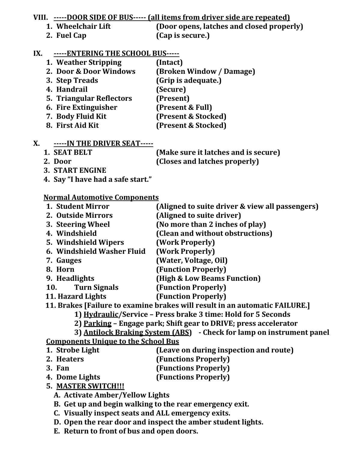**VIII. -----DOOR SIDE OF BUS----- (all items from driver side are repeated)**

- 
- **2. Fuel Cap (Cap is secure.)**

**1. Wheelchair Lift (Door opens, latches and closed properly)**

## **IX. -----ENTERING THE SCHOOL BUS-----**

**1. Weather Stripping (Intact) 2. Door & Door Windows (Broken Window / Damage) 3. Step Treads (Grip is adequate.) 4. Handrail (Secure) 5. Triangular Reflectors (Present) 6. Fire Extinguisher (Present & Full) 7. Body Fluid Kit (Present & Stocked) 8. First Aid Kit (Present & Stocked)**

### **X. -----IN THE DRIVER SEAT-----**

| 1. SEAT BELT | (Make sure it latches and is secure) |
|--------------|--------------------------------------|
| 2. Door      | (Closes and latches properly)        |

**3. START ENGINE** 

**4. Say "I have had a safe start."**

# **Normal Automotive Components**

- **1. Student Mirror (Aligned to suite driver & view all passengers) 2. Outside Mirrors (Aligned to suite driver)**
- **3. Steering Wheel (No more than 2 inches of play)**
- **4. Windshield (Clean and without obstructions)**
- **5. Windshield Wipers (Work Properly)**
- **6. Windshield Washer Fluid (Work Properly)**
- **7. Gauges (Water, Voltage, Oil)**
- **8. Horn (Function Properly)**
- **9. Headlights (High & Low Beams Function)**
- **10. Turn Signals (Function Properly)**

 **11. Hazard Lights (Function Properly)**

 **11. Brakes [Failure to examine brakes will result in an automatic FAILURE.]**

- **1) Hydraulic/Service – Press brake 3 time: Hold for 5 Seconds**
- **2) Parking – Engage park; Shift gear to DRIVE; press accelerator**

**3) Antilock Braking System (ABS) - Check for lamp on instrument panel Components Unique to the School Bus**

- **1. Strobe Light (Leave on during inspection and route)**
- **2. Heaters (Functions Properly)**
- 

- **3. Fan (Functions Properly)**
- **4. Dome Lights (Functions Properly)**
- **5. MASTER SWITCH!!!**
	- **A. Activate Amber/Yellow Lights**
	- **B. Get up and begin walking to the rear emergency exit.**
	- **C. Visually inspect seats and ALL emergency exits.**
	- **D. Open the rear door and inspect the amber student lights.**
	- **E. Return to front of bus and open doors.**